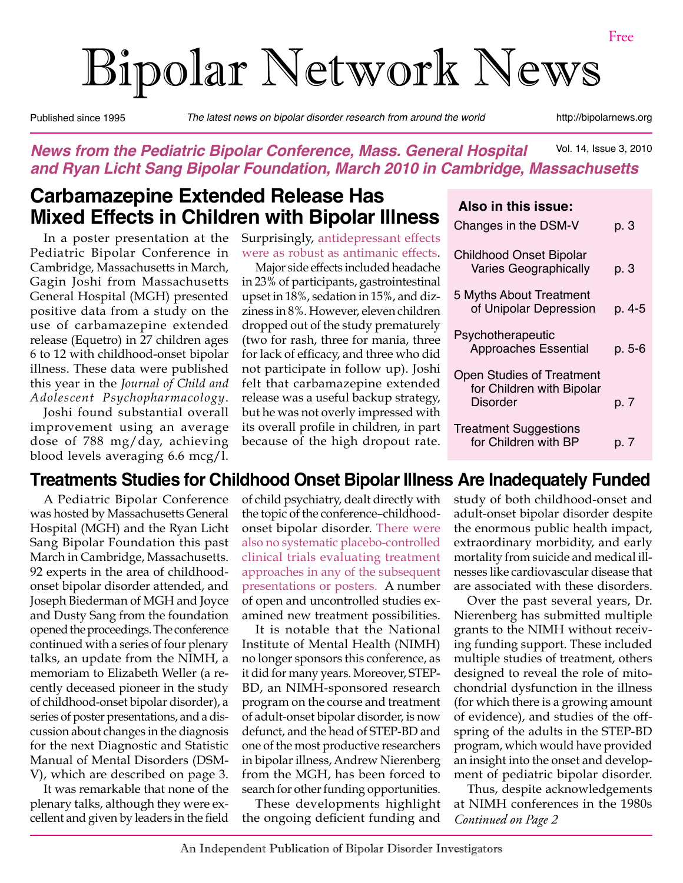# Bipolar Network News

Published since 1995 *The latest news on bipolar disorder research from around the world* http://bipolarnews.org

#### Vol. 14, Issue 3, 2010 *News from the Pediatric Bipolar Conference, Mass. General Hospital and Ryan Licht Sang Bipolar Foundation, March 2010 in Cambridge, Massachusetts*

## **Carbamazepine Extended Release Has Mixed Effects in Children with Bipolar Illness**

In a poster presentation at the Pediatric Bipolar Conference in Cambridge, Massachusetts in March, Gagin Joshi from Massachusetts General Hospital (MGH) presented positive data from a study on the use of carbamazepine extended release (Equetro) in 27 children ages 6 to 12 with childhood-onset bipolar illness. These data were published this year in the *Journal of Child and Adolescent Psychopharmacology*.

Joshi found substantial overall improvement using an average dose of 788 mg/day, achieving blood levels averaging 6.6 mcg/l.

Surprisingly, antidepressant effects were as robust as antimanic effects.

Major side effects included headache in 23% of participants, gastrointestinal upset in 18%, sedation in 15%, and dizziness in 8%. However, eleven children dropped out of the study prematurely (two for rash, three for mania, three for lack of efficacy, and three who did not participate in follow up). Joshi felt that carbamazepine extended release was a useful backup strategy, but he was not overly impressed with its overall profile in children, in part because of the high dropout rate.

#### **Also in this issue:**

| Changes in the DSM-V                                                      | p. 3   |
|---------------------------------------------------------------------------|--------|
| <b>Childhood Onset Bipolar</b><br><b>Varies Geographically</b>            | p. 3   |
| 5 Myths About Treatment<br>of Unipolar Depression                         | p. 4-5 |
| Psychotherapeutic<br><b>Approaches Essential</b>                          | p. 5-6 |
| <b>Open Studies of Treatment</b><br>for Children with Bipolar<br>Disorder | p. 7   |
| <b>Treatment Suggestions</b><br>for Children with BP                      | p. 7   |

## **Treatments Studies for Childhood Onset Bipolar Illness Are Inadequately Funded**

A Pediatric Bipolar Conference was hosted by Massachusetts General Hospital (MGH) and the Ryan Licht Sang Bipolar Foundation this past March in Cambridge, Massachusetts. 92 experts in the area of childhoodonset bipolar disorder attended, and Joseph Biederman of MGH and Joyce and Dusty Sang from the foundation opened the proceedings. The conference continued with a series of four plenary talks, an update from the NIMH, a memoriam to Elizabeth Weller (a recently deceased pioneer in the study of childhood-onset bipolar disorder), a series of poster presentations, and a discussion about changes in the diagnosis for the next Diagnostic and Statistic Manual of Mental Disorders (DSM-V), which are described on page 3.

It was remarkable that none of the plenary talks, although they were excellent and given by leaders in the field of child psychiatry, dealt directly with the topic of the conference–childhoodonset bipolar disorder. There were also no systematic placebo-controlled clinical trials evaluating treatment approaches in any of the subsequent presentations or posters. A number of open and uncontrolled studies examined new treatment possibilities.

It is notable that the National Institute of Mental Health (NIMH) no longer sponsors this conference, as it did for many years. Moreover, STEP-BD, an NIMH-sponsored research program on the course and treatment of adult-onset bipolar disorder, is now defunct, and the head of STEP-BD and one of the most productive researchers in bipolar illness, Andrew Nierenberg from the MGH, has been forced to search for other funding opportunities.

These developments highlight the ongoing deficient funding and study of both childhood-onset and adult-onset bipolar disorder despite the enormous public health impact, extraordinary morbidity, and early mortality from suicide and medical illnesses like cardiovascular disease that are associated with these disorders.

Over the past several years, Dr. Nierenberg has submitted multiple grants to the NIMH without receiving funding support. These included multiple studies of treatment, others designed to reveal the role of mitochondrial dysfunction in the illness (for which there is a growing amount of evidence), and studies of the offspring of the adults in the STEP-BD program, which would have provided an insight into the onset and development of pediatric bipolar disorder.

*Continued on Page 2* Thus, despite acknowledgements at NIMH conferences in the 1980s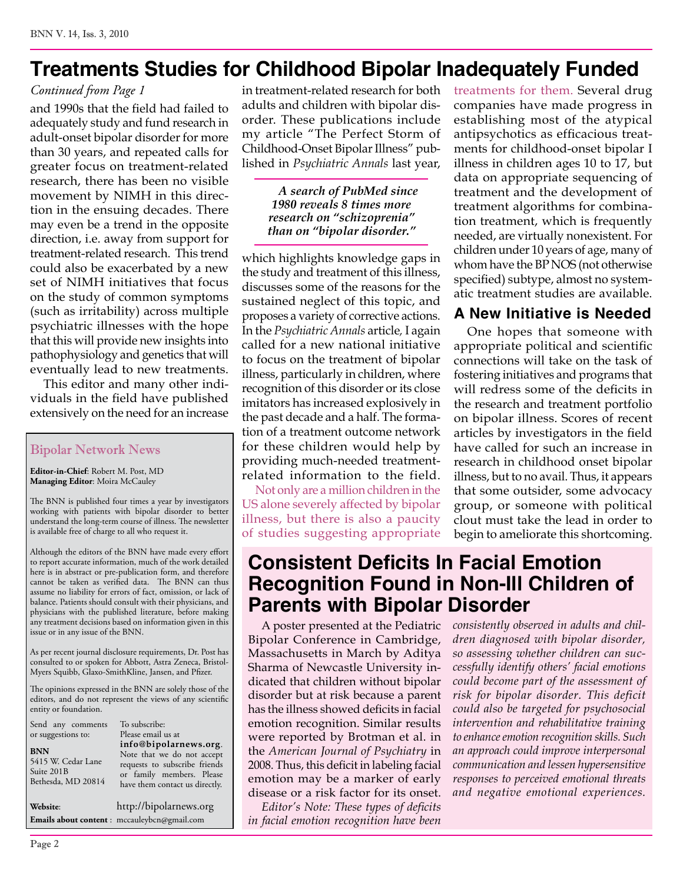## **Treatments Studies for Childhood Bipolar Inadequately Funded**

#### *Continued from Page 1*

and 1990s that the field had failed to adequately study and fund research in adult-onset bipolar disorder for more than 30 years, and repeated calls for greater focus on treatment-related research, there has been no visible movement by NIMH in this direction in the ensuing decades. There may even be a trend in the opposite direction, i.e. away from support for treatment-related research. This trend could also be exacerbated by a new set of NIMH initiatives that focus on the study of common symptoms (such as irritability) across multiple psychiatric illnesses with the hope that this will provide new insights into pathophysiology and genetics that will eventually lead to new treatments.

This editor and many other individuals in the field have published extensively on the need for an increase

#### Bipolar Network News

**Editor-in-Chief**: Robert M. Post, MD **Managing Editor**: Moira McCauley

The BNN is published four times a year by investigators working with patients with bipolar disorder to better understand the long-term course of illness. The newsletter is available free of charge to all who request it.

Although the editors of the BNN have made every effort to report accurate information, much of the work detailed here is in abstract or pre-publication form, and therefore cannot be taken as verified data. The BNN can thus assume no liability for errors of fact, omission, or lack of balance. Patients should consult with their physicians, and physicians with the published literature, before making any treatment decisions based on information given in this issue or in any issue of the BNN.

As per recent journal disclosure requirements, Dr. Post has consulted to or spoken for Abbott, Astra Zeneca, Bristol-Myers Squibb, Glaxo-SmithKline, Jansen, and Pfizer.

The opinions expressed in the BNN are solely those of the editors, and do not represent the views of any scientific entity or foundation.

| Send any comments<br>or suggestions to:<br><b>BNN</b><br>5415 W. Cedar Lane<br>Suite 201B<br>Bethesda, MD 20814 | To subscribe:<br>Please email us at<br>info@bipolarnews.org.<br>Note that we do not accept<br>requests to subscribe friends<br>or family members. Please<br>have them contact us directly. |
|-----------------------------------------------------------------------------------------------------------------|--------------------------------------------------------------------------------------------------------------------------------------------------------------------------------------------|
| Website:                                                                                                        | http://bipolarnews.org                                                                                                                                                                     |
|                                                                                                                 | Emails about content : mccauleybcn@gmail.com                                                                                                                                               |

in treatment-related research for both adults and children with bipolar disorder. These publications include my article "The Perfect Storm of Childhood-Onset Bipolar Illness" published in *Psychiatric Annals* last year,

> *A search of PubMed since 1980 reveals 8 times more research on "schizoprenia" than on "bipolar disorder."*

which highlights knowledge gaps in the study and treatment of this illness, discusses some of the reasons for the sustained neglect of this topic, and proposes a variety of corrective actions. In the *Psychiatric Annals* article*,* I again called for a new national initiative to focus on the treatment of bipolar illness, particularly in children, where recognition of this disorder or its close imitators has increased explosively in the past decade and a half. The formation of a treatment outcome network for these children would help by providing much-needed treatmentrelated information to the field.

Not only are a million children in the US alone severely affected by bipolar illness, but there is also a paucity of studies suggesting appropriate treatments for them. Several drug companies have made progress in establishing most of the atypical antipsychotics as efficacious treatments for childhood-onset bipolar I illness in children ages 10 to 17, but data on appropriate sequencing of treatment and the development of treatment algorithms for combination treatment, which is frequently needed, are virtually nonexistent. For children under 10 years of age, many of whom have the BP NOS (not otherwise specified) subtype, almost no systematic treatment studies are available.

#### **A New Initiative is Needed**

One hopes that someone with appropriate political and scientific connections will take on the task of fostering initiatives and programs that will redress some of the deficits in the research and treatment portfolio on bipolar illness. Scores of recent articles by investigators in the field have called for such an increase in research in childhood onset bipolar illness, but to no avail. Thus, it appears that some outsider, some advocacy group, or someone with political clout must take the lead in order to begin to ameliorate this shortcoming.

## **Consistent Deficits In Facial Emotion Recognition Found in Non-Ill Children of Parents with Bipolar Disorder**

A poster presented at the Pediatric Bipolar Conference in Cambridge, Massachusetts in March by Aditya Sharma of Newcastle University indicated that children without bipolar disorder but at risk because a parent has the illness showed deficits in facial emotion recognition. Similar results were reported by Brotman et al. in the *American Journal of Psychiatry* in 2008. Thus, this deficit in labeling facial emotion may be a marker of early disease or a risk factor for its onset.

*Editor's Note: These types of deficits in facial emotion recognition have been*  *consistently observed in adults and children diagnosed with bipolar disorder, so assessing whether children can successfully identify others' facial emotions could become part of the assessment of risk for bipolar disorder. This deficit could also be targeted for psychosocial intervention and rehabilitative training to enhance emotion recognition skills. Such an approach could improve interpersonal communication and lessen hypersensitive responses to perceived emotional threats and negative emotional experiences.*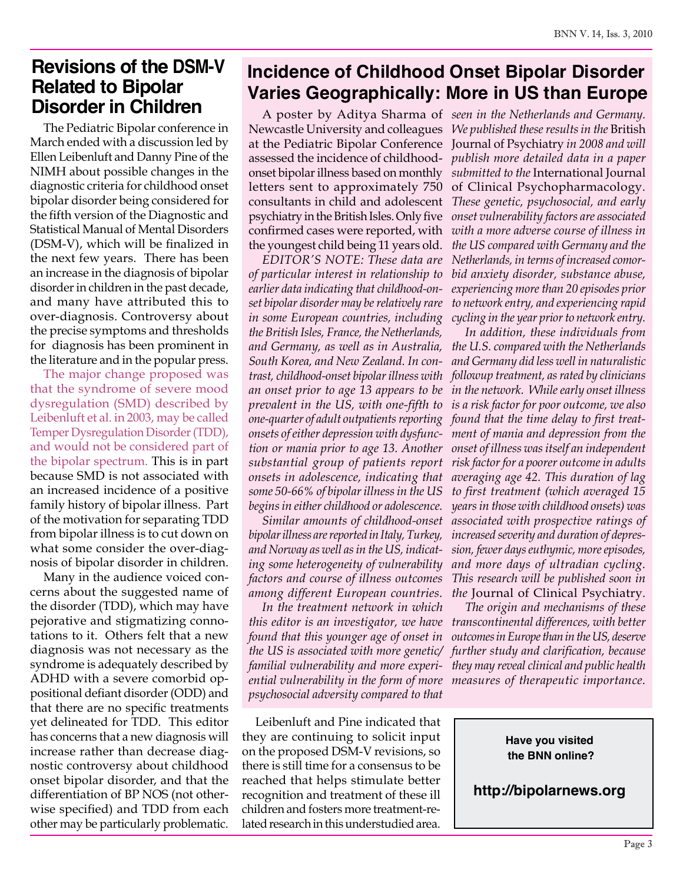## **Revisions of the DSM-V Related to Bipolar Disorder in Children**

The Pediatric Bipolar conference in March ended with a discussion led by Ellen Leibenluft and Danny Pine of the NIMH about possible changes in the diagnostic criteria for childhood onset bipolar disorder being considered for the fifth version of the Diagnostic and Statistical Manual of Mental Disorders (DSM-V), which will be finalized in the next few years. There has been an increase in the diagnosis of bipolar disorder in children in the past decade, and many have attributed this to over-diagnosis. Controversy about the precise symptoms and thresholds for diagnosis has been prominent in the literature and in the popular press.

The major change proposed was that the syndrome of severe mood dysregulation (SMD) described by Leibenluft et al. in 2003, may be called Temper Dysregulation Disorder (TDD), and would not be considered part of the bipolar spectrum. This is in part because SMD is not associated with an increased incidence of a positive family history of bipolar illness. Part of the motivation for separating TDD from bipolar illness is to cut down on what some consider the over-diagnosis of bipolar disorder in children.

Many in the audience voiced concerns about the suggested name of the disorder (TDD), which may have pejorative and stigmatizing connotations to it. Others felt that a new diagnosis was not necessary as the syndrome is adequately described by ADHD with a severe comorbid oppositional defiant disorder (ODD) and that there are no specific treatments yet delineated for TDD. This editor has concerns that a new diagnosis will increase rather than decrease diagnostic controversy about childhood onset bipolar disorder, and that the differentiation of BP NOS (not otherwise specified) and TDD from each other may be particularly problematic.

## **Incidence of Childhood Onset Bipolar Disorder Varies Geographically: More in US than Europe**

onset bipolar illness based on monthly letters sent to approximately 750 psychiatry in the British Isles. Only five confirmed cases were reported, with the youngest child being 11 years old.

*EDITOR'S NOTE: These data are of particular interest in relationship to earlier data indicating that childhood-onset bipolar disorder may be relatively rare in some European countries, including the British Isles, France, the Netherlands, and Germany, as well as in Australia, South Korea, and New Zealand. In contrast, childhood-onset bipolar illness with an onset prior to age 13 appears to be prevalent in the US, with one-fifth to one-quarter of adult outpatients reporting onsets of either depression with dysfunction or mania prior to age 13. Another substantial group of patients report onsets in adolescence, indicating that some 50-66% of bipolar illness in the US begins in either childhood or adolescence.*

*Similar amounts of childhood-onset bipolar illness are reported in Italy, Turkey, and Norway as well as in the US, indicating some heterogeneity of vulnerability factors and course of illness outcomes among different European countries.*

*In the treatment network in which found that this younger age of onset in familial vulnerability and more experiential vulnerability in the form of more measures of therapeutic importance. psychosocial adversity compared to that* 

Leibenluft and Pine indicated that they are continuing to solicit input on the proposed DSM-V revisions, so there is still time for a consensus to be reached that helps stimulate better recognition and treatment of these ill children and fosters more treatment-related research in this understudied area.

A poster by Aditya Sharma of *seen in the Netherlands and Germany.*  Newcastle University and colleagues *We published these results in the* British at the Pediatric Bipolar Conference Journal of Psychiatry *in 2008 and will*  assessed the incidence of childhood-*publish more detailed data in a paper*  consultants in child and adolescent *These genetic, psychosocial, and early submitted to the* International Journal of Clinical Psychopharmacology*. onset vulnerability factors are associated with a more adverse course of illness in the US compared with Germany and the Netherlands, in terms of increased comorbid anxiety disorder, substance abuse, experiencing more than 20 episodes prior to network entry, and experiencing rapid cycling in the year prior to network entry.*

*In addition, these individuals from the U.S. compared with the Netherlands and Germany did less well in naturalistic followup treatment, as rated by clinicians in the network. While early onset illness is a risk factor for poor outcome, we also found that the time delay to first treatment of mania and depression from the onset of illness was itself an independent risk factor for a poorer outcome in adults averaging age 42. This duration of lag to first treatment (which averaged 15 years in those with childhood onsets) was associated with prospective ratings of increased severity and duration of depression, fewer days euthymic, more episodes, and more days of ultradian cycling. This research will be published soon in the* Journal of Clinical Psychiatry*.* 

*this editor is an investigator, we have transcontinental differences, with better the US is associated with more genetic/ further study and clarification, because The origin and mechanisms of these outcomes in Europe than in the US, deserve they may reveal clinical and public health* 

> **Have you visited the BNN online?**

**http://bipolarnews.org**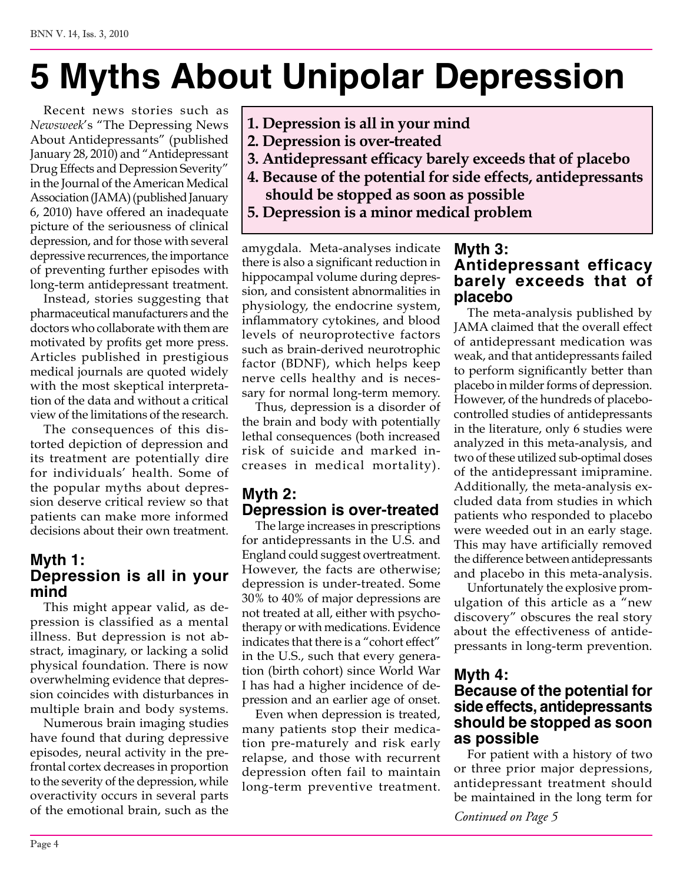## **5 Myths About Unipolar Depression**

Recent news stories such as *Newsweek*'s "The Depressing News About Antidepressants" (published January 28, 2010) and "Antidepressant Drug Effects and Depression Severity" in the Journal of the American Medical Association (JAMA) (published January 6, 2010) have offered an inadequate picture of the seriousness of clinical depression, and for those with several depressive recurrences, the importance of preventing further episodes with long-term antidepressant treatment.

Instead, stories suggesting that pharmaceutical manufacturers and the doctors who collaborate with them are motivated by profits get more press. Articles published in prestigious medical journals are quoted widely with the most skeptical interpretation of the data and without a critical view of the limitations of the research.

The consequences of this distorted depiction of depression and its treatment are potentially dire for individuals' health. Some of the popular myths about depression deserve critical review so that patients can make more informed decisions about their own treatment.

#### **Myth 1: Depression is all in your mind**

This might appear valid, as depression is classified as a mental illness. But depression is not abstract, imaginary, or lacking a solid physical foundation. There is now overwhelming evidence that depression coincides with disturbances in multiple brain and body systems.

Numerous brain imaging studies have found that during depressive episodes, neural activity in the prefrontal cortex decreases in proportion to the severity of the depression, while overactivity occurs in several parts of the emotional brain, such as the

- **1. Depression is all in your mind**
- **2. Depression is over-treated**
- **3. Antidepressant efficacy barely exceeds that of placebo**
- **4. Because of the potential for side effects, antidepressants should be stopped as soon as possible**
- **5. Depression is a minor medical problem**

amygdala. Meta-analyses indicate there is also a significant reduction in hippocampal volume during depression, and consistent abnormalities in physiology, the endocrine system, inflammatory cytokines, and blood levels of neuroprotective factors such as brain-derived neurotrophic factor (BDNF), which helps keep nerve cells healthy and is necessary for normal long-term memory.

Thus, depression is a disorder of the brain and body with potentially lethal consequences (both increased risk of suicide and marked increases in medical mortality).

#### **Myth 2: Depression is over-treated**

The large increases in prescriptions for antidepressants in the U.S. and England could suggest overtreatment. However, the facts are otherwise; depression is under-treated. Some 30% to 40% of major depressions are not treated at all, either with psychotherapy or with medications. Evidence indicates that there is a "cohort effect" in the U.S., such that every generation (birth cohort) since World War I has had a higher incidence of depression and an earlier age of onset.

Even when depression is treated, many patients stop their medication pre-maturely and risk early relapse, and those with recurrent depression often fail to maintain long-term preventive treatment.

#### **Myth 3: Antidepressant efficacy barely exceeds that of placebo**

The meta-analysis published by JAMA claimed that the overall effect of antidepressant medication was weak, and that antidepressants failed to perform significantly better than placebo in milder forms of depression. However, of the hundreds of placebocontrolled studies of antidepressants in the literature, only 6 studies were analyzed in this meta-analysis, and two of these utilized sub-optimal doses of the antidepressant imipramine. Additionally, the meta-analysis excluded data from studies in which patients who responded to placebo were weeded out in an early stage. This may have artificially removed the difference between antidepressants and placebo in this meta-analysis.

Unfortunately the explosive promulgation of this article as a "new discovery" obscures the real story about the effectiveness of antidepressants in long-term prevention.

## **Myth 4:**

#### **Because of the potential for side effects, antidepressants should be stopped as soon as possible**

For patient with a history of two or three prior major depressions, antidepressant treatment should be maintained in the long term for

*Continued on Page 5*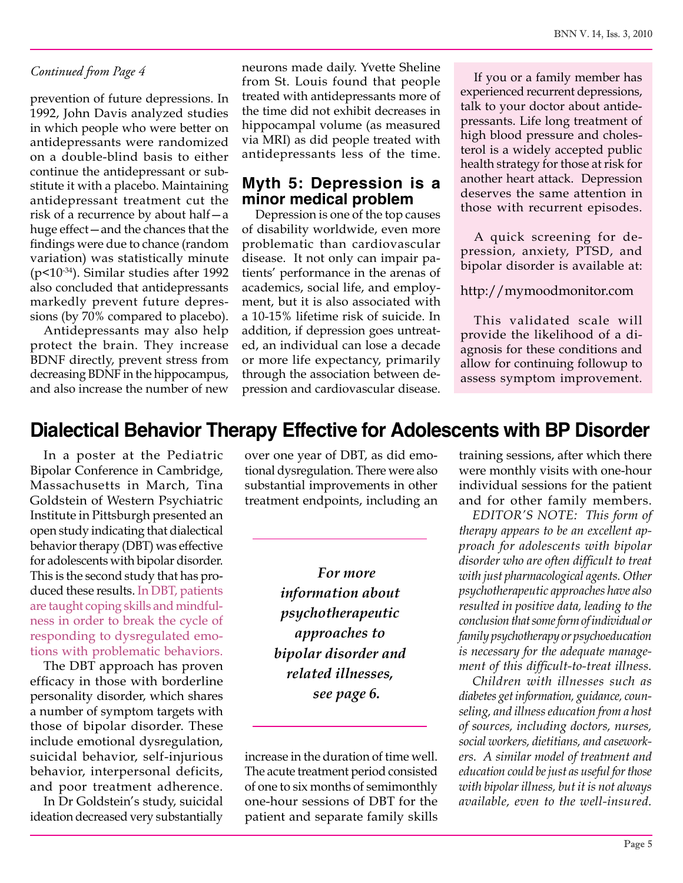#### *Continued from Page 4*

prevention of future depressions. In 1992, John Davis analyzed studies in which people who were better on antidepressants were randomized on a double-blind basis to either continue the antidepressant or substitute it with a placebo. Maintaining antidepressant treatment cut the risk of a recurrence by about half—a huge effect—and the chances that the findings were due to chance (random variation) was statistically minute (p<10-34). Similar studies after 1992 also concluded that antidepressants markedly prevent future depressions (by 70% compared to placebo).

Antidepressants may also help protect the brain. They increase BDNF directly, prevent stress from decreasing BDNF in the hippocampus, and also increase the number of new

neurons made daily. Yvette Sheline from St. Louis found that people treated with antidepressants more of the time did not exhibit decreases in hippocampal volume (as measured via MRI) as did people treated with antidepressants less of the time.

#### **Myth 5: Depression is a minor medical problem**

Depression is one of the top causes of disability worldwide, even more problematic than cardiovascular disease. It not only can impair patients' performance in the arenas of academics, social life, and employment, but it is also associated with a 10-15% lifetime risk of suicide. In addition, if depression goes untreated, an individual can lose a decade or more life expectancy, primarily through the association between depression and cardiovascular disease.

If you or a family member has experienced recurrent depressions, talk to your doctor about antidepressants. Life long treatment of high blood pressure and cholesterol is a widely accepted public health strategy for those at risk for another heart attack. Depression deserves the same attention in those with recurrent episodes.

A quick screening for depression, anxiety, PTSD, and bipolar disorder is available at:

#### http://mymoodmonitor.com

This validated scale will provide the likelihood of a diagnosis for these conditions and allow for continuing followup to assess symptom improvement.

### **Dialectical Behavior Therapy Effective for Adolescents with BP Disorder**

In a poster at the Pediatric Bipolar Conference in Cambridge, Massachusetts in March, Tina Goldstein of Western Psychiatric Institute in Pittsburgh presented an open study indicating that dialectical behavior therapy (DBT) was effective for adolescents with bipolar disorder. This is the second study that has produced these results. In DBT, patients are taught coping skills and mindfulness in order to break the cycle of responding to dysregulated emotions with problematic behaviors.

The DBT approach has proven efficacy in those with borderline personality disorder, which shares a number of symptom targets with those of bipolar disorder. These include emotional dysregulation, suicidal behavior, self-injurious behavior, interpersonal deficits, and poor treatment adherence.

In Dr Goldstein's study, suicidal ideation decreased very substantially over one year of DBT, as did emotional dysregulation. There were also substantial improvements in other treatment endpoints, including an

> *For more information about psychotherapeutic approaches to bipolar disorder and related illnesses, see page 6.*

increase in the duration of time well. The acute treatment period consisted of one to six months of semimonthly one-hour sessions of DBT for the patient and separate family skills training sessions, after which there were monthly visits with one-hour individual sessions for the patient and for other family members.

*EDITOR'S NOTE: This form of therapy appears to be an excellent approach for adolescents with bipolar disorder who are often difficult to treat with just pharmacological agents. Other psychotherapeutic approaches have also resulted in positive data, leading to the conclusion that some form of individual or family psychotherapy or psychoeducation is necessary for the adequate management of this difficult-to-treat illness.* 

*Children with illnesses such as diabetes get information, guidance, counseling, and illness education from a host of sources, including doctors, nurses, social workers, dietitians, and caseworkers. A similar model of treatment and education could be just as useful for those with bipolar illness, but it is not always available, even to the well-insured.*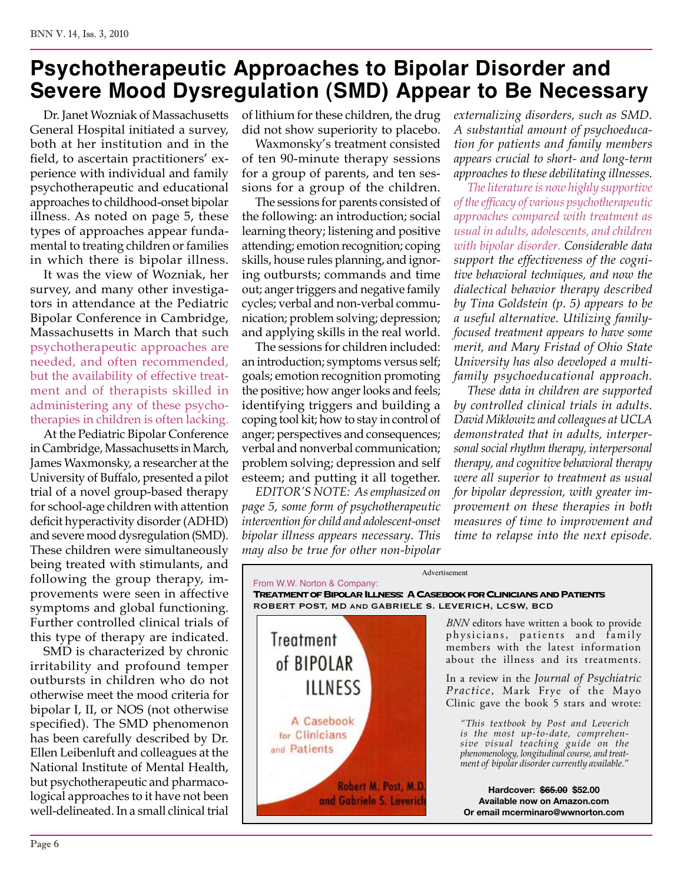## **Psychotherapeutic Approaches to Bipolar Disorder and Severe Mood Dysregulation (SMD) Appear to Be Necessary**

Dr. Janet Wozniak of Massachusetts General Hospital initiated a survey, both at her institution and in the field, to ascertain practitioners' experience with individual and family psychotherapeutic and educational approaches to childhood-onset bipolar illness. As noted on page 5, these types of approaches appear fundamental to treating children or families in which there is bipolar illness.

It was the view of Wozniak, her survey, and many other investigators in attendance at the Pediatric Bipolar Conference in Cambridge, Massachusetts in March that such psychotherapeutic approaches are needed, and often recommended, but the availability of effective treatment and of therapists skilled in administering any of these psychotherapies in children is often lacking.

At the Pediatric Bipolar Conference in Cambridge, Massachusetts in March, James Waxmonsky, a researcher at the University of Buffalo, presented a pilot trial of a novel group-based therapy for school-age children with attention deficit hyperactivity disorder (ADHD) and severe mood dysregulation (SMD). These children were simultaneously being treated with stimulants, and following the group therapy, improvements were seen in affective symptoms and global functioning. Further controlled clinical trials of this type of therapy are indicated.

SMD is characterized by chronic irritability and profound temper outbursts in children who do not otherwise meet the mood criteria for bipolar I, II, or NOS (not otherwise specified). The SMD phenomenon has been carefully described by Dr. Ellen Leibenluft and colleagues at the National Institute of Mental Health, but psychotherapeutic and pharmacological approaches to it have not been well-delineated. In a small clinical trial

of lithium for these children, the drug did not show superiority to placebo.

Waxmonsky's treatment consisted of ten 90-minute therapy sessions for a group of parents, and ten sessions for a group of the children.

The sessions for parents consisted of the following: an introduction; social learning theory; listening and positive attending; emotion recognition; coping skills, house rules planning, and ignoring outbursts; commands and time out; anger triggers and negative family cycles; verbal and non-verbal communication; problem solving; depression; and applying skills in the real world.

The sessions for children included: an introduction; symptoms versus self; goals; emotion recognition promoting the positive; how anger looks and feels; identifying triggers and building a coping tool kit; how to stay in control of anger; perspectives and consequences; verbal and nonverbal communication; problem solving; depression and self esteem; and putting it all together.

*EDITOR'S NOTE: As emphasized on page 5, some form of psychotherapeutic intervention for child and adolescent-onset bipolar illness appears necessary. This may also be true for other non-bipolar*  *externalizing disorders, such as SMD. A substantial amount of psychoeducation for patients and family members appears crucial to short- and long-term approaches to these debilitating illnesses.*

*The literature is now highly supportive of the efficacy of various psychotherapeutic approaches compared with treatment as usual in adults, adolescents, and children with bipolar disorder. Considerable data support the effectiveness of the cognitive behavioral techniques, and now the dialectical behavior therapy described by Tina Goldstein (p. 5) appears to be a useful alternative. Utilizing familyfocused treatment appears to have some merit, and Mary Fristad of Ohio State University has also developed a multifamily psychoeducational approach.* 

*These data in children are supported by controlled clinical trials in adults. David Miklowitz and colleagues at UCLA demonstrated that in adults, interpersonal social rhythm therapy, interpersonal therapy, and cognitive behavioral therapy were all superior to treatment as usual for bipolar depression, with greater improvement on these therapies in both measures of time to improvement and time to relapse into the next episode.* 



Advertisement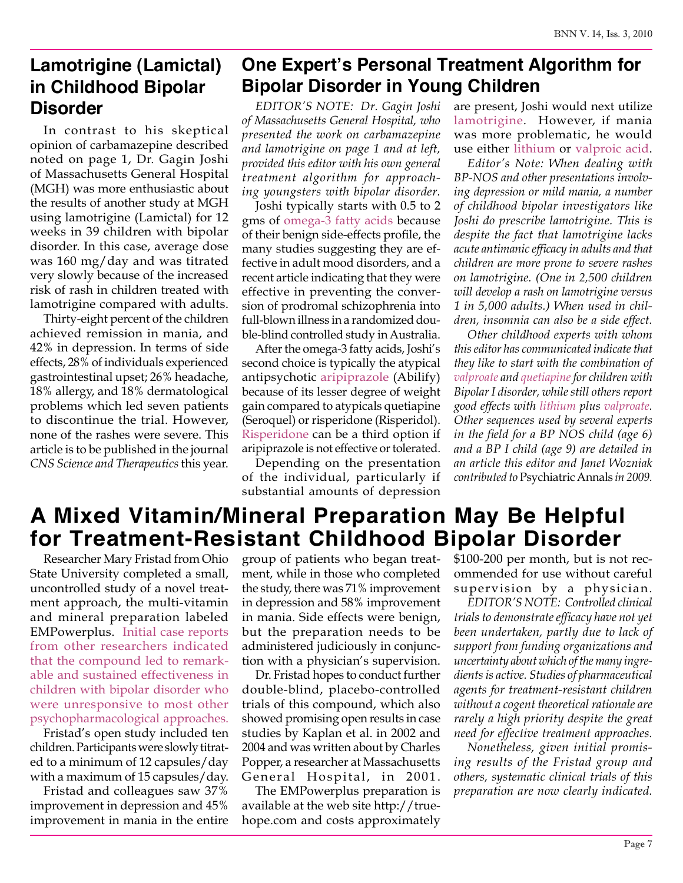## **Lamotrigine (Lamictal) in Childhood Bipolar Disorder**

In contrast to his skeptical opinion of carbamazepine described noted on page 1, Dr. Gagin Joshi of Massachusetts General Hospital (MGH) was more enthusiastic about the results of another study at MGH using lamotrigine (Lamictal) for 12 weeks in 39 children with bipolar disorder. In this case, average dose was 160 mg/day and was titrated very slowly because of the increased risk of rash in children treated with lamotrigine compared with adults.

Thirty-eight percent of the children achieved remission in mania, and 42% in depression. In terms of side effects, 28% of individuals experienced gastrointestinal upset; 26% headache, 18% allergy, and 18% dermatological problems which led seven patients to discontinue the trial. However, none of the rashes were severe. This article is to be published in the journal *CNS Science and Therapeutics* this year.

## **One Expert's Personal Treatment Algorithm for Bipolar Disorder in Young Children**

*EDITOR'S NOTE: Dr. Gagin Joshi of Massachusetts General Hospital, who presented the work on carbamazepine and lamotrigine on page 1 and at left, provided this editor with his own general treatment algorithm for approaching youngsters with bipolar disorder.*

Joshi typically starts with 0.5 to 2 gms of omega-3 fatty acids because of their benign side-effects profile, the many studies suggesting they are effective in adult mood disorders, and a recent article indicating that they were effective in preventing the conversion of prodromal schizophrenia into full-blown illness in a randomized double-blind controlled study in Australia.

After the omega-3 fatty acids, Joshi's second choice is typically the atypical antipsychotic aripiprazole (Abilify) because of its lesser degree of weight gain compared to atypicals quetiapine (Seroquel) or risperidone (Risperidol). Risperidone can be a third option if aripiprazole is not effective or tolerated.

Depending on the presentation of the individual, particularly if substantial amounts of depression are present, Joshi would next utilize lamotrigine. However, if mania was more problematic, he would use either lithium or valproic acid.

*Editor's Note: When dealing with BP-NOS and other presentations involving depression or mild mania, a number of childhood bipolar investigators like Joshi do prescribe lamotrigine. This is despite the fact that lamotrigine lacks acute antimanic efficacy in adults and that children are more prone to severe rashes on lamotrigine. (One in 2,500 children will develop a rash on lamotrigine versus 1 in 5,000 adults.) When used in children, insomnia can also be a side effect.* 

*Other childhood experts with whom this editor has communicated indicate that they like to start with the combination of valproate and quetiapine for children with Bipolar I disorder, while still others report good effects with lithium plus valproate. Other sequences used by several experts in the field for a BP NOS child (age 6) and a BP I child (age 9) are detailed in an article this editor and Janet Wozniak contributed to* Psychiatric Annals *in 2009.*

## **A Mixed Vitamin/Mineral Preparation May Be Helpful for Treatment-Resistant Childhood Bipolar Disorder**

Researcher Mary Fristad from Ohio State University completed a small, uncontrolled study of a novel treatment approach, the multi-vitamin and mineral preparation labeled EMPowerplus. Initial case reports from other researchers indicated that the compound led to remarkable and sustained effectiveness in children with bipolar disorder who were unresponsive to most other psychopharmacological approaches.

Fristad's open study included ten children. Participants were slowly titrated to a minimum of 12 capsules/day with a maximum of 15 capsules/day.

Fristad and colleagues saw 37% improvement in depression and 45% improvement in mania in the entire group of patients who began treatment, while in those who completed the study, there was 71% improvement in depression and 58% improvement in mania. Side effects were benign, but the preparation needs to be administered judiciously in conjunction with a physician's supervision.

Dr. Fristad hopes to conduct further double-blind, placebo-controlled trials of this compound, which also showed promising open results in case studies by Kaplan et al. in 2002 and 2004 and was written about by Charles Popper, a researcher at Massachusetts General Hospital, in 2001.

The EMPowerplus preparation is available at the web site http://truehope.com and costs approximately

\$100-200 per month, but is not recommended for use without careful supervision by a physician.

*EDITOR'S NOTE: Controlled clinical trials to demonstrate efficacy have not yet been undertaken, partly due to lack of support from funding organizations and uncertainty about which of the many ingredients is active. Studies of pharmaceutical agents for treatment-resistant children without a cogent theoretical rationale are rarely a high priority despite the great need for effective treatment approaches.*

*Nonetheless, given initial promising results of the Fristad group and others, systematic clinical trials of this preparation are now clearly indicated.*